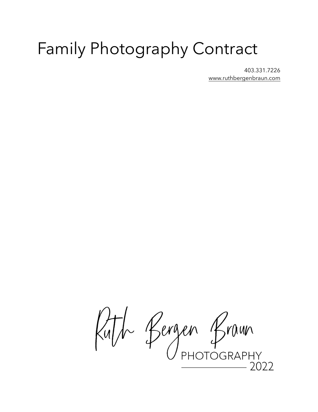# Family Photography Contract

403.331.7226 [www.ruthbergenbraun.com](http://www.ruthbergenbraun.com)

Ruth Bergen Braun  $.7077$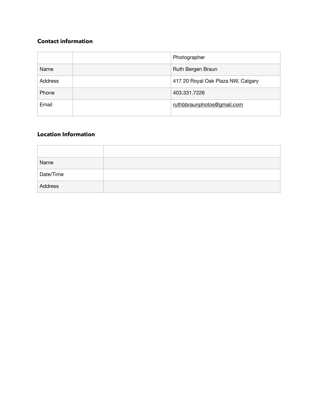# **Contact information**

|                | Photographer                       |  |  |
|----------------|------------------------------------|--|--|
| Name           | Ruth Bergen Braun                  |  |  |
| <b>Address</b> | 417 20 Royal Oak Plaza NW, Calgary |  |  |
| Phone          | 403.331.7226                       |  |  |
| Email          | ruthbbraunphotos@gmail.com         |  |  |

# **Location Information**

| Name      |  |
|-----------|--|
| Date/Time |  |
| Address   |  |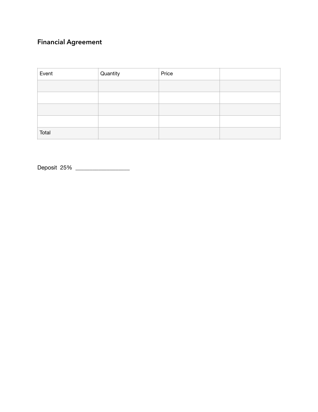# **Financial Agreement**

| Event | Quantity | Price |  |
|-------|----------|-------|--|
|       |          |       |  |
|       |          |       |  |
|       |          |       |  |
|       |          |       |  |
| Total |          |       |  |

Deposit 25% \_\_\_\_\_\_\_\_\_\_\_\_\_\_\_\_\_\_\_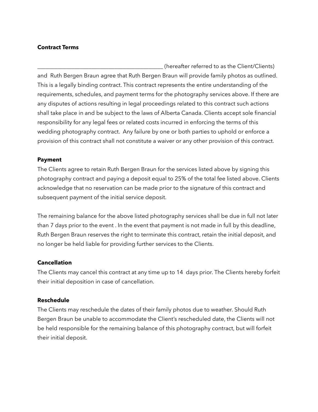#### **Contract Terms**

\_\_\_\_\_\_\_\_\_\_\_\_\_\_\_\_\_\_\_\_\_\_\_\_\_\_\_\_\_\_\_\_\_\_\_\_\_\_\_\_\_\_\_\_ (hereafter referred to as the Client/Clients) and Ruth Bergen Braun agree that Ruth Bergen Braun will provide family photos as outlined. This is a legally binding contract. This contract represents the entire understanding of the requirements, schedules, and payment terms for the photography services above. If there are any disputes of actions resulting in legal proceedings related to this contract such actions shall take place in and be subject to the laws of Alberta Canada. Clients accept sole financial responsibility for any legal fees or related costs incurred in enforcing the terms of this wedding photography contract. Any failure by one or both parties to uphold or enforce a provision of this contract shall not constitute a waiver or any other provision of this contract.

#### **Payment**

The Clients agree to retain Ruth Bergen Braun for the services listed above by signing this photography contract and paying a deposit equal to 25% of the total fee listed above. Clients acknowledge that no reservation can be made prior to the signature of this contract and subsequent payment of the initial service deposit.

The remaining balance for the above listed photography services shall be due in full not later than 7 days prior to the event . In the event that payment is not made in full by this deadline, Ruth Bergen Braun reserves the right to terminate this contract, retain the initial deposit, and no longer be held liable for providing further services to the Clients.

# **Cancellation**

The Clients may cancel this contract at any time up to 14 days prior. The Clients hereby forfeit their initial deposition in case of cancellation.

#### **Reschedule**

The Clients may reschedule the dates of their family photos due to weather. Should Ruth Bergen Braun be unable to accommodate the Client's rescheduled date, the Clients will not be held responsible for the remaining balance of this photography contract, but will forfeit their initial deposit.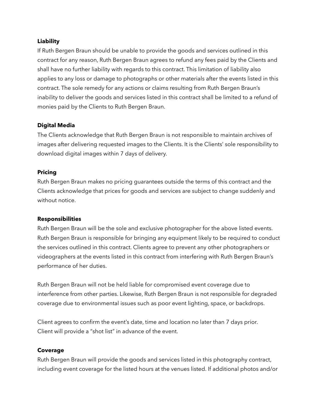#### **Liability**

If Ruth Bergen Braun should be unable to provide the goods and services outlined in this contract for any reason, Ruth Bergen Braun agrees to refund any fees paid by the Clients and shall have no further liability with regards to this contract. This limitation of liability also applies to any loss or damage to photographs or other materials after the events listed in this contract. The sole remedy for any actions or claims resulting from Ruth Bergen Braun's inability to deliver the goods and services listed in this contract shall be limited to a refund of monies paid by the Clients to Ruth Bergen Braun.

# **Digital Media**

The Clients acknowledge that Ruth Bergen Braun is not responsible to maintain archives of images after delivering requested images to the Clients. It is the Clients' sole responsibility to download digital images within 7 days of delivery.

#### **Pricing**

Ruth Bergen Braun makes no pricing guarantees outside the terms of this contract and the Clients acknowledge that prices for goods and services are subject to change suddenly and without notice.

# **Responsibilities**

Ruth Bergen Braun will be the sole and exclusive photographer for the above listed events. Ruth Bergen Braun is responsible for bringing any equipment likely to be required to conduct the services outlined in this contract. Clients agree to prevent any other photographers or videographers at the events listed in this contract from interfering with Ruth Bergen Braun's performance of her duties.

Ruth Bergen Braun will not be held liable for compromised event coverage due to interference from other parties. Likewise, Ruth Bergen Braun is not responsible for degraded coverage due to environmental issues such as poor event lighting, space, or backdrops.

Client agrees to confirm the event's date, time and location no later than 7 days prior. Client will provide a "shot list" in advance of the event.

# **Coverage**

Ruth Bergen Braun will provide the goods and services listed in this photography contract, including event coverage for the listed hours at the venues listed. If additional photos and/or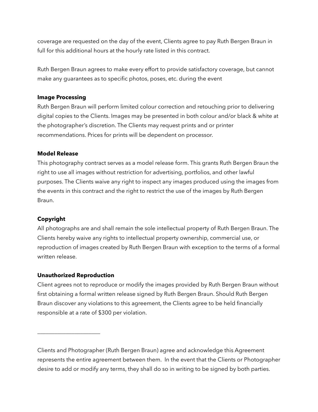coverage are requested on the day of the event, Clients agree to pay Ruth Bergen Braun in full for this additional hours at the hourly rate listed in this contract.

Ruth Bergen Braun agrees to make every effort to provide satisfactory coverage, but cannot make any guarantees as to specific photos, poses, etc. during the event

### **Image Processing**

Ruth Bergen Braun will perform limited colour correction and retouching prior to delivering digital copies to the Clients. Images may be presented in both colour and/or black & white at the photographer's discretion. The Clients may request prints and or printer recommendations. Prices for prints will be dependent on processor.

#### **Model Release**

This photography contract serves as a model release form. This grants Ruth Bergen Braun the right to use all images without restriction for advertising, portfolios, and other lawful purposes. The Clients waive any right to inspect any images produced using the images from the events in this contract and the right to restrict the use of the images by Ruth Bergen Braun.

# **Copyright**

All photographs are and shall remain the sole intellectual property of Ruth Bergen Braun. The Clients hereby waive any rights to intellectual property ownership, commercial use, or reproduction of images created by Ruth Bergen Braun with exception to the terms of a formal written release.

#### **Unauthorized Reproduction**

\_\_\_\_\_\_\_\_\_\_\_\_\_\_\_\_\_\_\_\_\_\_

Client agrees not to reproduce or modify the images provided by Ruth Bergen Braun without first obtaining a formal written release signed by Ruth Bergen Braun. Should Ruth Bergen Braun discover any violations to this agreement, the Clients agree to be held financially responsible at a rate of \$300 per violation.

Clients and Photographer (Ruth Bergen Braun) agree and acknowledge this Agreement represents the entire agreement between them. In the event that the Clients or Photographer desire to add or modify any terms, they shall do so in writing to be signed by both parties.